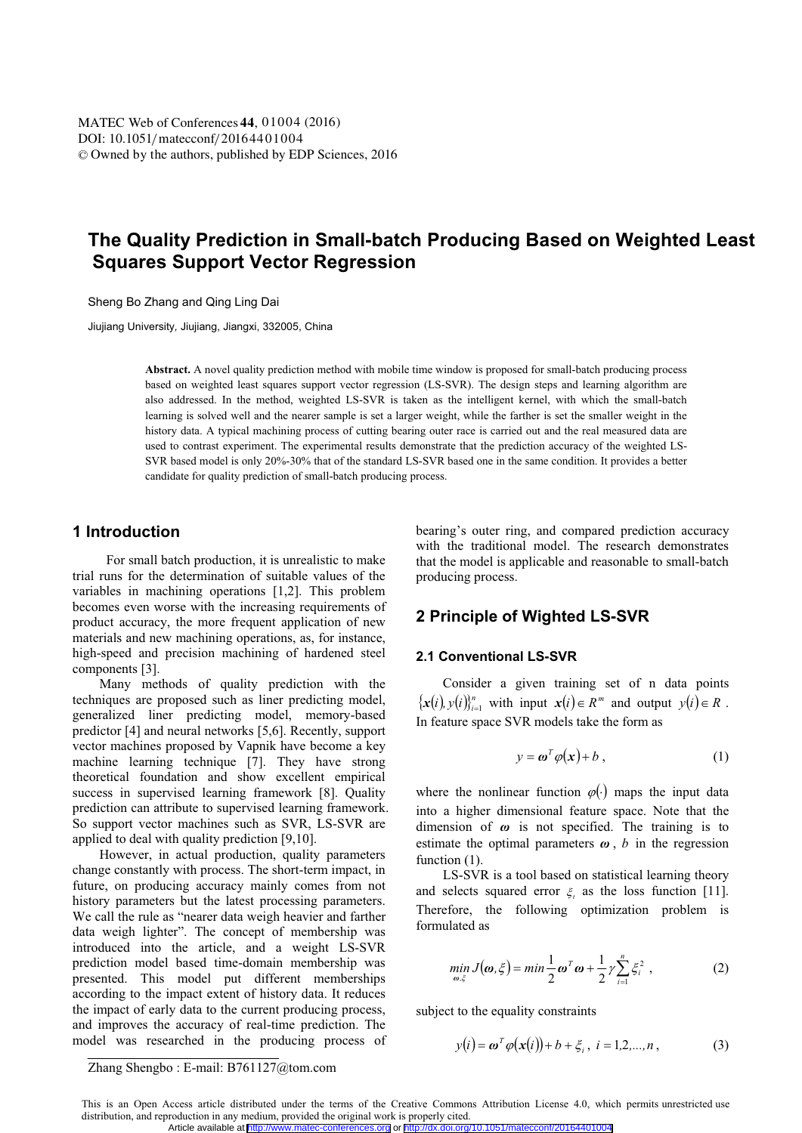# **The Quality Prediction in Small-batch Producing Based on Weighted Least Squares Support Vector Regression**

Sheng Bo Zhang and Qing Ling Dai

Jiujiang University*,* Jiujiang, Jiangxi, 332005, China

**Abstract.** A novel quality prediction method with mobile time window is proposed for small-batch producing process based on weighted least squares support vector regression (LS-SVR). The design steps and learning algorithm are also addressed. In the method, weighted LS-SVR is taken as the intelligent kernel, with which the small-batch learning is solved well and the nearer sample is set a larger weight, while the farther is set the smaller weight in the history data. A typical machining process of cutting bearing outer race is carried out and the real measured data are used to contrast experiment. The experimental results demonstrate that the prediction accuracy of the weighted LS-SVR based model is only 20%-30% that of the standard LS-SVR based one in the same condition. It provides a better candidate for quality prediction of small-batch producing process.

### **1 Introduction**

For small batch production, it is unrealistic to make trial runs for the determination of suitable values of the variables in machining operations [1,2]. This problem becomes even worse with the increasing requirements of product accuracy, the more frequent application of new materials and new machining operations, as, for instance, high-speed and precision machining of hardened steel components [3].

Many methods of quality prediction with the techniques are proposed such as liner predicting model, generalized liner predicting model, memory-based predictor [4] and neural networks [5,6]. Recently, support vector machines proposed by Vapnik have become a key machine learning technique [7]. They have strong theoretical foundation and show excellent empirical success in supervised learning framework [8]. Quality prediction can attribute to supervised learning framework. So support vector machines such as SVR, LS-SVR are applied to deal with quality prediction [9,10].

However, in actual production, quality parameters change constantly with process. The short-term impact, in future, on producing accuracy mainly comes from not history parameters but the latest processing parameters. We call the rule as "nearer data weigh heavier and farther data weigh lighter". The concept of membership was introduced into the article, and a weight LS-SVR prediction model based time-domain membership was presented. This model put different memberships according to the impact extent of history data. It reduces the impact of early data to the current producing process, and improves the accuracy of real-time prediction. The model was researched in the producing process of bearing's outer ring, and compared prediction accuracy with the traditional model. The research demonstrates that the model is applicable and reasonable to small-batch producing process.

# **2 Principle of Wighted LS-SVR**

### **2.1 Conventional LS-SVR**

Consider a given training set of n data points  $\{x(i), y(i)\}_{i=1}^n$  with input  $x(i) \in R^m$  and output  $y(i) \in R$ . In feature space SVR models take the form as

$$
y = \boldsymbol{\omega}^T \boldsymbol{\varphi}(\mathbf{x}) + b \,, \tag{1}
$$

where the nonlinear function  $\varphi(\cdot)$  maps the input data into a higher dimensional feature space. Note that the dimension of  $\omega$  is not specified. The training is to estimate the optimal parameters  $\omega$ ,  $b$  in the regression function  $(1)$ .

LS-SVR is a tool based on statistical learning theory and selects squared error  $\xi$  as the loss function [11]. Therefore, the following optimization problem is formulated as

$$
\min_{\omega,\xi} J(\omega,\xi) = \min \frac{1}{2} \omega^T \omega + \frac{1}{2} \gamma \sum_{i=1}^n \xi_i^2 , \qquad (2)
$$

subject to the equality constraints

$$
y(i) = \omega^T \varphi(x(i)) + b + \xi_i, \ i = 1, 2, ..., n,
$$
 (3)

Zhang Shengbo : E-mail: B761127@tom.com

This is an Open Access article distributed under the terms of the Creative Commons Attribution License 4.0, which permits unrestricted use distribution, and reproduction in any medium, provided the original work is properly cited. Article available at <http://www.matec-conferences.org> or <http://dx.doi.org/10.1051/matecconf/20164401004>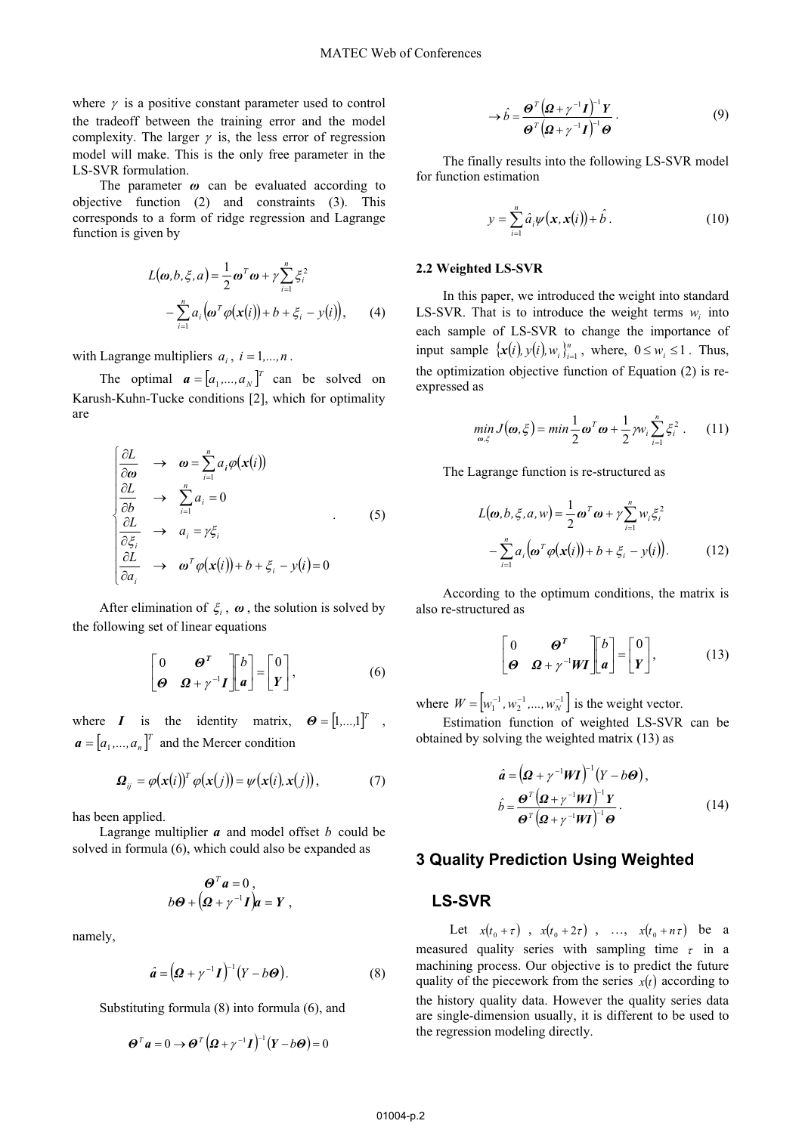where  $\gamma$  is a positive constant parameter used to control the tradeoff between the training error and the model complexity. The larger  $\gamma$  is, the less error of regression model will make. This is the only free parameter in the LS-SVR formulation.

The parameter  $\omega$  can be evaluated according to objective function (2) and constraints (3). This corresponds to a form of ridge regression and Lagrange function is given by

$$
L(\boldsymbol{\omega}, b, \xi, a) = \frac{1}{2} \boldsymbol{\omega}^T \boldsymbol{\omega} + \gamma \sum_{i=1}^n \xi_i^2
$$
  
- 
$$
\sum_{i=1}^n a_i (\boldsymbol{\omega}^T \boldsymbol{\varphi}(\mathbf{x}(i)) + b + \xi_i - y(i)), \qquad (4)
$$

with Lagrange multipliers  $a_i$ ,  $i = 1,...,n$ .

The optimal  $\mathbf{a} = [a_1, \dots, a_N]^T$  can be solved on Karush-Kuhn-Tucke conditions [2], which for optimality are

$$
\begin{cases}\n\frac{\partial L}{\partial \omega} & \to & \omega = \sum_{i=1}^{n} a_i \varphi(\mathbf{x}(i)) \\
\frac{\partial L}{\partial b} & \to & \sum_{i=1}^{n} a_i = 0 \\
\frac{\partial L}{\partial \xi_i} & \to & a_i = \gamma \xi_i \\
\frac{\partial L}{\partial a_i} & \to & \omega^T \varphi(\mathbf{x}(i)) + b + \xi_i - y(i) = 0\n\end{cases} (5)
$$

After elimination of  $\xi$ ,  $\omega$ , the solution is solved by the following set of linear equations

$$
\begin{bmatrix} 0 & \boldsymbol{\Theta}^T \\ \boldsymbol{\Theta} & \boldsymbol{\Omega} + \gamma^{-1} \boldsymbol{I} \end{bmatrix} \begin{bmatrix} b \\ a \end{bmatrix} = \begin{bmatrix} 0 \\ Y \end{bmatrix}, \tag{6}
$$

where *I* is the identity matrix,  $\boldsymbol{\Theta} = [1,...,1]^T$ ,  $a = [a_1, ..., a_n]^T$  and the Mercer condition

$$
\boldsymbol{\Omega}_{ij} = \varphi(\mathbf{x}(i))^T \varphi(\mathbf{x}(j)) = \psi(\mathbf{x}(i), \mathbf{x}(j)), \qquad (7)
$$

has been applied.

Lagrange multiplier *a* and model offset *b* could be solved in formula (6), which could also be expanded as

$$
\boldsymbol{\Theta}^T \boldsymbol{a} = 0 ,
$$
  

$$
b\boldsymbol{\Theta} + (\boldsymbol{\Omega} + \gamma^{-1}\boldsymbol{I})\boldsymbol{a} = \boldsymbol{Y} ,
$$

namely,

$$
\hat{\boldsymbol{a}} = \left(\boldsymbol{\Omega} + \gamma^{-1}\boldsymbol{I}\right)^{-1} \left(\boldsymbol{Y} - \boldsymbol{b}\boldsymbol{\Theta}\right). \tag{8}
$$

Substituting formula (8) into formula (6), and

$$
\boldsymbol{\Theta}^T \boldsymbol{a} = 0 \rightarrow \boldsymbol{\Theta}^T \left( \boldsymbol{\Omega} + \gamma^{-1} \boldsymbol{I} \right)^{-1} \left( \boldsymbol{Y} - b \boldsymbol{\Theta} \right) = 0
$$

$$
\rightarrow \hat{b} = \frac{\boldsymbol{\Theta}^{T} (\boldsymbol{\Omega} + \gamma^{-1} \boldsymbol{I})^{-1} \boldsymbol{Y}}{\boldsymbol{\Theta}^{T} (\boldsymbol{\Omega} + \gamma^{-1} \boldsymbol{I})^{-1} \boldsymbol{\Theta}}.
$$
 (9)

The finally results into the following LS-SVR model for function estimation

$$
y = \sum_{i=1}^{n} \hat{a}_i \psi(\mathbf{x}, \mathbf{x}(i)) + \hat{b} \,. \tag{10}
$$

#### **2.2 Weighted LS-SVR**

In this paper, we introduced the weight into standard LS-SVR. That is to introduce the weight terms  $w_i$  into each sample of LS-SVR to change the importance of input sample  $\{x(i), y(i), w_i\}_{i=1}^n$ , where,  $0 \le w_i \le 1$ . Thus, the optimization objective function of Equation (2) is reexpressed as

$$
\min_{\boldsymbol{\omega}, \xi} J(\boldsymbol{\omega}, \xi) = \min \frac{1}{2} \boldsymbol{\omega}^T \boldsymbol{\omega} + \frac{1}{2} \gamma w_i \sum_{i=1}^n \xi_i^2. \qquad (11)
$$

The Lagrange function is re-structured as

$$
L(\boldsymbol{\omega}, b, \xi, a, w) = \frac{1}{2} \boldsymbol{\omega}^T \boldsymbol{\omega} + \gamma \sum_{i=1}^n w_i \xi_i^2
$$

$$
- \sum_{i=1}^n a_i (\boldsymbol{\omega}^T \boldsymbol{\varphi}(\mathbf{x}(i)) + b + \xi_i - y(i)). \tag{12}
$$

According to the optimum conditions, the matrix is also re-structured as

$$
\begin{bmatrix} 0 & \boldsymbol{\Theta}^T \\ \boldsymbol{\Theta} & \boldsymbol{\Omega} + \gamma^{-1} \boldsymbol{W} \boldsymbol{I} \end{bmatrix} \begin{bmatrix} b \\ \boldsymbol{a} \end{bmatrix} = \begin{bmatrix} 0 \\ \boldsymbol{Y} \end{bmatrix}, \qquad (13)
$$

where  $W = [w_1^{-1}, w_2^{-1}, ..., w_N^{-1}]$  is the weight vector.

Estimation function of weighted LS-SVR can be obtained by solving the weighted matrix (13) as

$$
\hat{a} = (\mathbf{\Omega} + \gamma^{-1} W \mathbf{I})^{-1} (Y - b \mathbf{\Theta}),
$$
\n
$$
\hat{b} = \frac{\mathbf{\Theta}^T (\mathbf{\Omega} + \gamma^{-1} W \mathbf{I})^{-1} Y}{\mathbf{\Theta}^T (\mathbf{\Omega} + \gamma^{-1} W \mathbf{I})^{-1} \mathbf{\Theta}}.
$$
\n(14)

# **3 Quality Prediction Using Weighted**

# **LS-SVR**

Let  $x(t_0 + \tau)$ ,  $x(t_0 + 2\tau)$ , ...,  $x(t_0 + n\tau)$  be a measured quality series with sampling time  $\tau$  in a machining process. Our objective is to predict the future quality of the piecework from the series  $x(t)$  according to the history quality data. However the quality series data are single-dimension usually, it is different to be used to the regression modeling directly.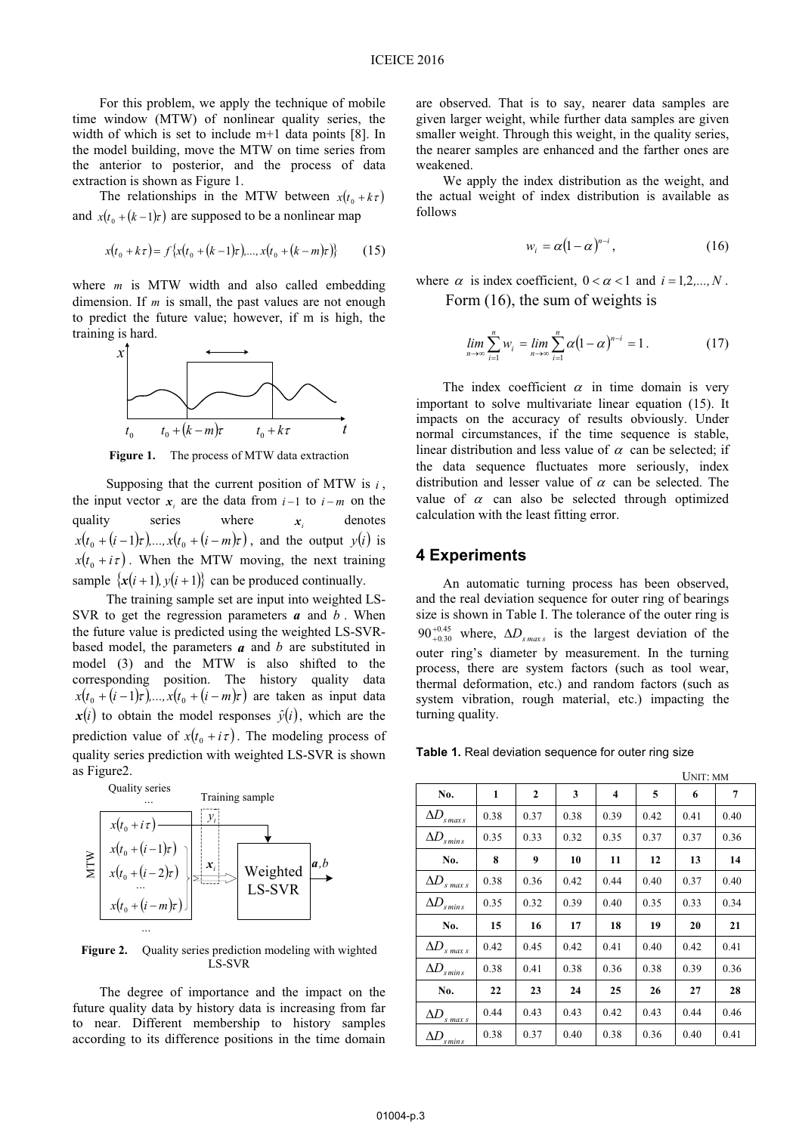For this problem, we apply the technique of mobile time window (MTW) of nonlinear quality series, the width of which is set to include m+1 data points [8]. In the model building, move the MTW on time series from the anterior to posterior, and the process of data extraction is shown as Figure 1.

The relationships in the MTW between  $x(t_0 + k\tau)$ and  $x(t_0 + (k-1)\tau)$  are supposed to be a nonlinear map

$$
x(t_0 + k\tau) = f\{x(t_0 + (k-1)\tau), ..., x(t_0 + (k-m)\tau)\}
$$
 (15)

where *m* is MTW width and also called embedding dimension. If *m* is small, the past values are not enough to predict the future value; however, if m is high, the training is hard.



**Figure 1.** The process of MTW data extraction

Supposing that the current position of MTW is *i* , the input vector  $x_i$  are the data from  $i-1$  to  $i-m$  on the quality series where  $x_i$  denotes  $x(t_0 + (i-1)\tau)$ ,...,  $x(t_0 + (i-m)\tau)$ , and the output  $y(i)$  is  $x(t_0 + i\tau)$ . When the MTW moving, the next training sample  $\{x(i+1), y(i+1)\}$  can be produced continually.

The training sample set are input into weighted LS-SVR to get the regression parameters *a* and *b* . When the future value is predicted using the weighted LS-SVRbased model, the parameters *a* and *b* are substituted in model (3) and the MTW is also shifted to the corresponding position. The history quality data  $x(t_0 + (i - 1)\tau)$ ,...,  $x(t_0 + (i - m)\tau)$  are taken as input data  $x(i)$  to obtain the model responses  $\hat{y}(i)$ , which are the prediction value of  $x(t_0 + i\tau)$ . The modeling process of quality series prediction with weighted LS-SVR is shown as Figure2.



Figure 2. Quality series prediction modeling with wighted LS-SVR

The degree of importance and the impact on the future quality data by history data is increasing from far to near. Different membership to history samples according to its difference positions in the time domain

are observed. That is to say, nearer data samples are given larger weight, while further data samples are given smaller weight. Through this weight, in the quality series, the nearer samples are enhanced and the farther ones are weakened.

We apply the index distribution as the weight, and the actual weight of index distribution is available as follows

$$
w_i = \alpha (1 - \alpha)^{n - i}, \qquad (16)
$$

where  $\alpha$  is index coefficient,  $0 < \alpha < 1$  and  $i = 1, 2, ..., N$ . Form (16), the sum of weights is

$$
\lim_{n \to \infty} \sum_{i=1}^{n} w_i = \lim_{n \to \infty} \sum_{i=1}^{n} \alpha (1 - \alpha)^{n-i} = 1.
$$
 (17)

The index coefficient  $\alpha$  in time domain is very important to solve multivariate linear equation (15). It impacts on the accuracy of results obviously. Under normal circumstances, if the time sequence is stable, linear distribution and less value of  $\alpha$  can be selected; if the data sequence fluctuates more seriously, index distribution and lesser value of  $\alpha$  can be selected. The value of  $\alpha$  can also be selected through optimized calculation with the least fitting error.

# **4 Experiments**

An automatic turning process has been observed, and the real deviation sequence for outer ring of bearings size is shown in Table I. The tolerance of the outer ring is  $90^{+0.45}_{+0.30}$  where,  $\Delta D_{s_{max}}$  is the largest deviation of the outer ring's diameter by measurement. In the turning process, there are system factors (such as tool wear, thermal deformation, etc.) and random factors (such as system vibration, rough material, etc.) impacting the turning quality.

**Table 1.** Real deviation sequence for outer ring size

|                         |      |                |      |      | UNIT: MM |      |      |  |
|-------------------------|------|----------------|------|------|----------|------|------|--|
| No.                     | 1    | $\overline{2}$ | 3    | 4    | 5        | 6    | 7    |  |
| ΔD<br>$s$ max $s$       | 0.38 | 0.37           | 0.38 | 0.39 | 0.42     | 0.41 | 0.40 |  |
| $\Delta D$<br>$s$ min s | 0.35 | 0.33           | 0.32 | 0.35 | 0.37     | 0.37 | 0.36 |  |
| No.                     | 8    | 9              | 10   | 11   | 12       | 13   | 14   |  |
| ΔD<br>$s$ max $s$       | 0.38 | 0.36           | 0.42 | 0.44 | 0.40     | 0.37 | 0.40 |  |
| ΔD<br>$s$ min $s$       | 0.35 | 0.32           | 0.39 | 0.40 | 0.35     | 0.33 | 0.34 |  |
| No.                     | 15   | 16             | 17   | 18   | 19       | 20   | 21   |  |
| ΔD<br>s max s           | 0.42 | 0.45           | 0.42 | 0.41 | 0.40     | 0.42 | 0.41 |  |
| ΔD<br>'s min s          | 0.38 | 0.41           | 0.38 | 0.36 | 0.38     | 0.39 | 0.36 |  |
| No.                     | 22   | 23             | 24   | 25   | 26       | 27   | 28   |  |
| ΔD<br>$s$ max $s$       | 0.44 | 0.43           | 0.43 | 0.42 | 0.43     | 0.44 | 0.46 |  |
| ΔD<br>s min s           | 0.38 | 0.37           | 0.40 | 0.38 | 0.36     | 0.40 | 0.41 |  |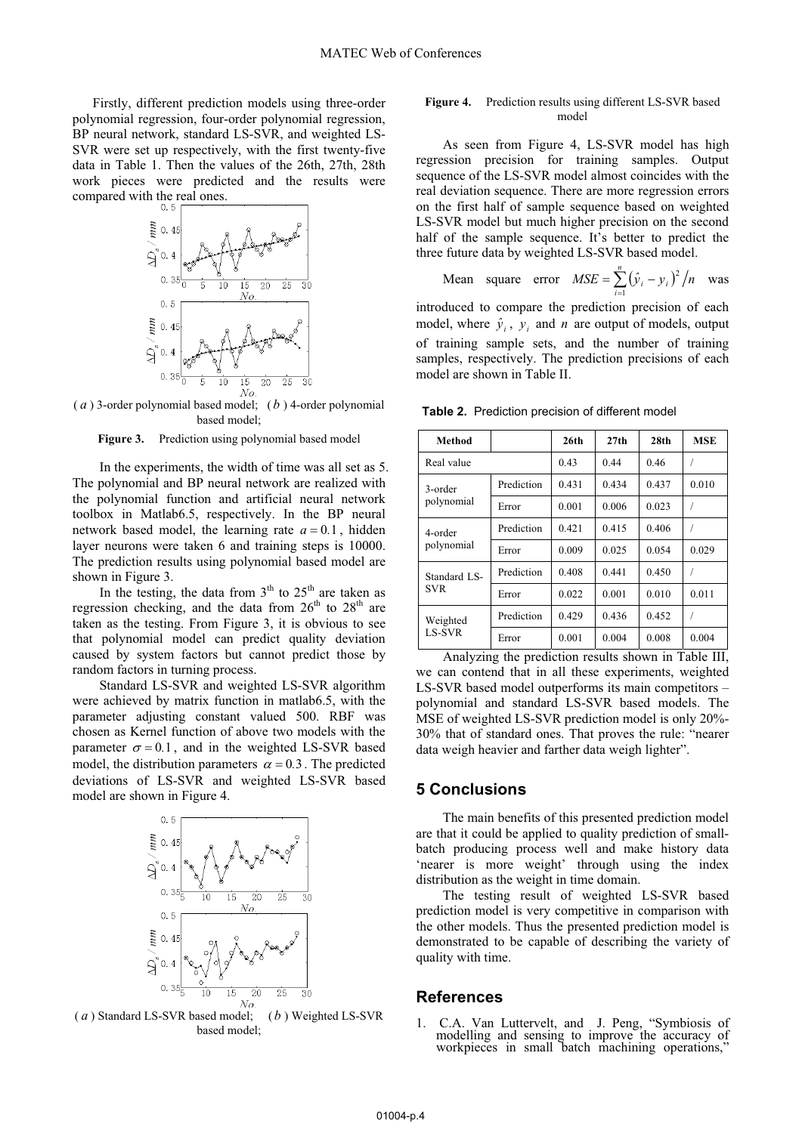Firstly, different prediction models using three-order polynomial regression, four-order polynomial regression, BP neural network, standard LS-SVR, and weighted LS-SVR were set up respectively, with the first twenty-five data in Table 1. Then the values of the 26th, 27th, 28th work pieces were predicted and the results were compared with the real ones.



( *a* ) 3-order polynomial based model; ( *b* ) 4-order polynomial based model;

Figure 3. Prediction using polynomial based model

In the experiments, the width of time was all set as 5. The polynomial and BP neural network are realized with the polynomial function and artificial neural network toolbox in Matlab6.5, respectively. In the BP neural network based model, the learning rate  $a = 0.1$ , hidden layer neurons were taken 6 and training steps is 10000. The prediction results using polynomial based model are shown in Figure 3.

In the testing, the data from  $3<sup>th</sup>$  to  $25<sup>th</sup>$  are taken as regression checking, and the data from  $26<sup>th</sup>$  to  $28<sup>th</sup>$  are taken as the testing. From Figure 3, it is obvious to see that polynomial model can predict quality deviation caused by system factors but cannot predict those by random factors in turning process.

Standard LS-SVR and weighted LS-SVR algorithm were achieved by matrix function in matlab6.5, with the parameter adjusting constant valued 500. RBF was chosen as Kernel function of above two models with the parameter  $\sigma = 0.1$ , and in the weighted LS-SVR based model, the distribution parameters  $\alpha = 0.3$ . The predicted deviations of LS-SVR and weighted LS-SVR based model are shown in Figure 4.



( *a* ) Standard LS-SVR based model; ( *b* ) Weighted LS-SVR based model;

#### **Figure 4.** Prediction results using different LS-SVR based model

As seen from Figure 4, LS-SVR model has high regression precision for training samples. Output sequence of the LS-SVR model almost coincides with the real deviation sequence. There are more regression errors on the first half of sample sequence based on weighted LS-SVR model but much higher precision on the second half of the sample sequence. It's better to predict the three future data by weighted LS-SVR based model.

Mean square error 
$$
MSE = \sum_{i=1}^{n} (\hat{y}_i - y_i)^2 / n
$$
 was

introduced to compare the prediction precision of each model, where  $\hat{y}_i$ ,  $\hat{y}_j$  and *n* are output of models, output of training sample sets, and the number of training samples, respectively. The prediction precisions of each model are shown in Table II.

**Table 2.** Prediction precision of different model

| Method                    |            | 26 <sub>th</sub> | 27th  | 28 <sub>th</sub> | <b>MSE</b> |
|---------------------------|------------|------------------|-------|------------------|------------|
| Real value                | 0.43       | 0.44             | 0.46  |                  |            |
| 3-order<br>polynomial     | Prediction | 0.431            | 0.434 | 0.437            | 0.010      |
|                           | Error      | 0.001            | 0.006 | 0.023            |            |
| 4-order<br>polynomial     | Prediction | 0.421            | 0.415 | 0.406            |            |
|                           | Error      | 0.009            | 0.025 | 0.054            | 0.029      |
| Standard LS-<br>SVR.      | Prediction | 0.408            | 0.441 | 0.450            |            |
|                           | Error      | 0.022            | 0.001 | 0.010            | 0.011      |
| Weighted<br><b>LS-SVR</b> | Prediction | 0.429            | 0.436 | 0.452            |            |
|                           | Error      | 0.001            | 0.004 | 0.008            | 0.004      |

Analyzing the prediction results shown in Table III, we can contend that in all these experiments, weighted LS-SVR based model outperforms its main competitors – polynomial and standard LS-SVR based models. The MSE of weighted LS-SVR prediction model is only 20%- 30% that of standard ones. That proves the rule: "nearer data weigh heavier and farther data weigh lighter".

### **5 Conclusions**

The main benefits of this presented prediction model are that it could be applied to quality prediction of smallbatch producing process well and make history data 'nearer is more weight' through using the index distribution as the weight in time domain.

The testing result of weighted LS-SVR based prediction model is very competitive in comparison with the other models. Thus the presented prediction model is demonstrated to be capable of describing the variety of quality with time.

### **References**

1. C.A. Van Luttervelt, and J. Peng, "Symbiosis of modelling and sensing to improve the accuracy of workpieces in small batch machining operations,"